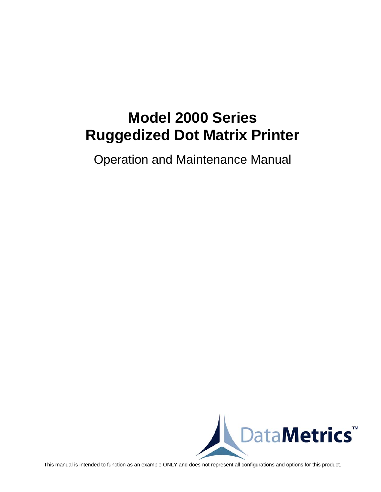# **Model 2000 Series Ruggedized Dot Matrix Printer**

Operation and Maintenance Manual



This manual is intended to function as an example ONLY and does not represent all configurations and options for this product.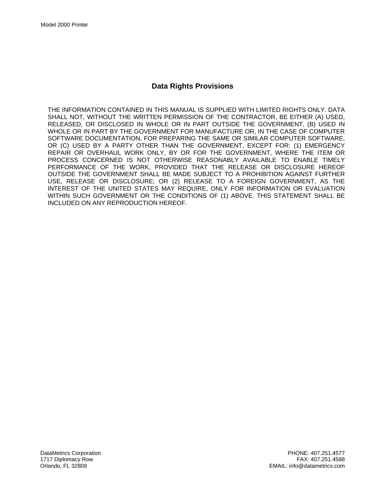### **Data Rights Provisions**

THE INFORMATION CONTAINED IN THIS MANUAL IS SUPPLIED WITH LIMITED RIGHTS ONLY. DATA SHALL NOT, WITHOUT THE WRITTEN PERMISSION OF THE CONTRACTOR, BE EITHER (A) USED, RELEASED, OR DISCLOSED IN WHOLE OR IN PART OUTSIDE THE GOVERNMENT, (B) USED IN WHOLE OR IN PART BY THE GOVERNMENT FOR MANUFACTURE OR, IN THE CASE OF COMPUTER SOFTWARE DOCUMENTATION, FOR PREPARING THE SAME OR SIMILAR COMPUTER SOFTWARE, OR (C) USED BY A PARTY OTHER THAN THE GOVERNMENT, EXCEPT FOR: (1) EMERGENCY REPAIR OR OVERHAUL WORK ONLY, BY OR FOR THE GOVERNMENT, WHERE THE ITEM OR PROCESS CONCERNED IS NOT OTHERWISE REASONABLY AVAILABLE TO ENABLE TIMELY PERFORMANCE OF THE WORK, PROVIDED THAT THE RELEASE OR DISCLOSURE HEREOF OUTSIDE THE GOVERNMENT SHALL BE MADE SUBJECT TO A PROHIBITION AGAINST FURTHER USE, RELEASE OR DISCLOSURE; OR (2) RELEASE TO A FOREIGN GOVERNMENT, AS THE INTEREST OF THE UNITED STATES MAY REQUIRE, ONLY FOR INFORMATION OR EVALUATION WITHIN SUCH GOVERNMENT OR THE CONDITIONS OF (1) ABOVE. THIS STATEMENT SHALL BE INCLUDED ON ANY REPRODUCTION HEREOF.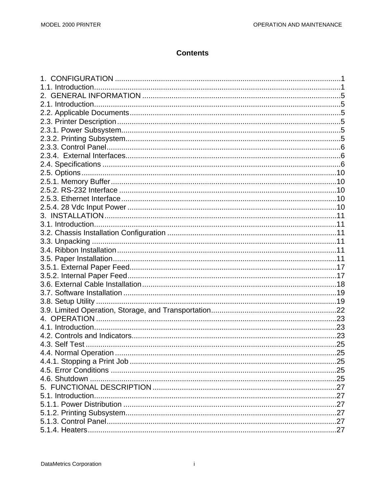# **Contents**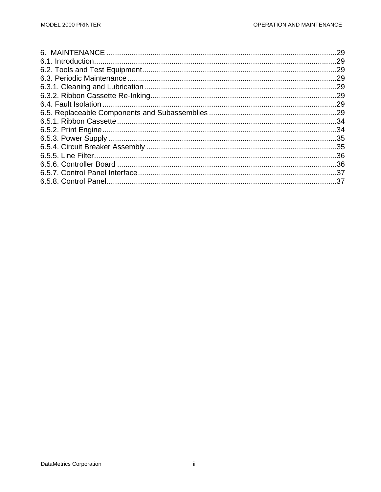| .29 |
|-----|
|     |
| .29 |
| .29 |
|     |
|     |
|     |
|     |
|     |
|     |
|     |
|     |
|     |
|     |
|     |
|     |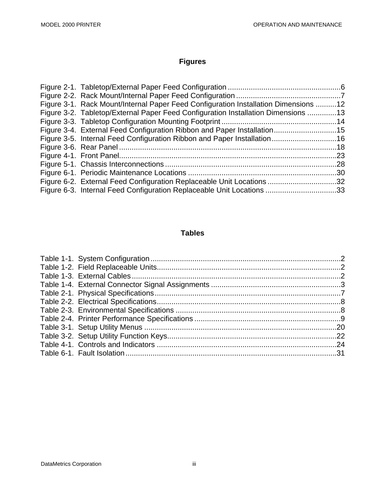# **Figures**

| Figure 3-1. Rack Mount/Internal Paper Feed Configuration Installation Dimensions 12 |  |
|-------------------------------------------------------------------------------------|--|
| Figure 3-2. Tabletop/External Paper Feed Configuration Installation Dimensions 13   |  |
|                                                                                     |  |
| Figure 3-4. External Feed Configuration Ribbon and Paper Installation15             |  |
| Figure 3-5. Internal Feed Configuration Ribbon and Paper Installation16             |  |
|                                                                                     |  |
|                                                                                     |  |
|                                                                                     |  |
|                                                                                     |  |
| Figure 6-2. External Feed Configuration Replaceable Unit Locations 32               |  |
| Figure 6-3. Internal Feed Configuration Replaceable Unit Locations 33               |  |

### **Tables**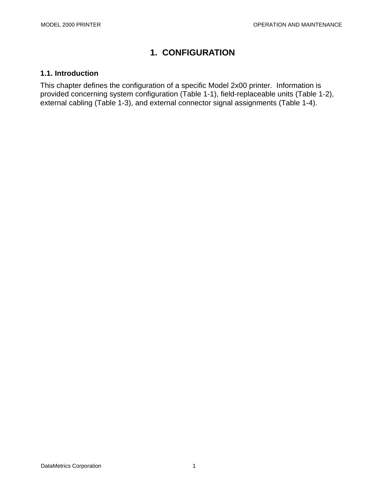# **1. CONFIGURATION**

### **1.1. Introduction**

This chapter defines the configuration of a specific Model 2x00 printer. Information is provided concerning system configuration (Table 1-1), field-replaceable units (Table 1-2), external cabling (Table 1-3), and external connector signal assignments (Table 1-4).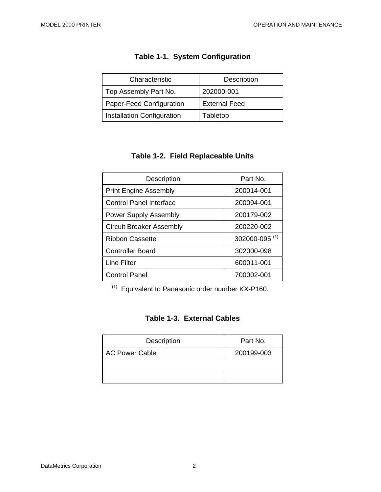| Characteristic                    | Description          |
|-----------------------------------|----------------------|
| Top Assembly Part No.             | 202000-001           |
| Paper-Feed Configuration          | <b>External Feed</b> |
| <b>Installation Configuration</b> | Tabletop             |

# **Table 1-1. System Configuration**

# **Table 1-2. Field Replaceable Units**

| Description                     | Part No.                  |
|---------------------------------|---------------------------|
| <b>Print Engine Assembly</b>    | 200014-001                |
| Control Panel Interface         | 200094-001                |
| <b>Power Supply Assembly</b>    | 200179-002                |
| <b>Circuit Breaker Assembly</b> | 200220-002                |
| Ribbon Cassette                 | 302000-095 <sup>(1)</sup> |
| <b>Controller Board</b>         | 302000-098                |
| Line Filter                     | 600011-001                |
| <b>Control Panel</b>            | 700002-001                |

(1) Equivalent to Panasonic order number KX-P160.

## **Table 1-3. External Cables**

| <b>Description</b>    | Part No.   |
|-----------------------|------------|
| <b>AC Power Cable</b> | 200199-003 |
|                       |            |
|                       |            |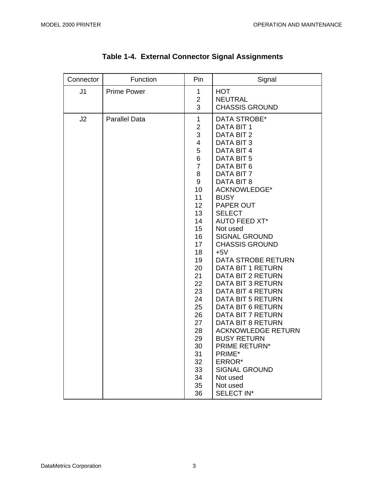| Connector      | Function             | Pin                                                                                                                                                                                                                                                                                               | Signal                                                                                                                                                                                                                                                                                                                                                                                                                                                                                                                                                                                                                                                                                       |
|----------------|----------------------|---------------------------------------------------------------------------------------------------------------------------------------------------------------------------------------------------------------------------------------------------------------------------------------------------|----------------------------------------------------------------------------------------------------------------------------------------------------------------------------------------------------------------------------------------------------------------------------------------------------------------------------------------------------------------------------------------------------------------------------------------------------------------------------------------------------------------------------------------------------------------------------------------------------------------------------------------------------------------------------------------------|
| J <sub>1</sub> | <b>Prime Power</b>   | 1<br>$\mathbf{2}$<br>3                                                                                                                                                                                                                                                                            | <b>HOT</b><br><b>NEUTRAL</b><br><b>CHASSIS GROUND</b>                                                                                                                                                                                                                                                                                                                                                                                                                                                                                                                                                                                                                                        |
| J2             | <b>Parallel Data</b> | $\mathbf 1$<br>$\overline{2}$<br>3<br>$\overline{\mathbf{4}}$<br>5<br>6<br>$\overline{7}$<br>8<br>$\boldsymbol{9}$<br>10<br>11<br>12 <sub>2</sub><br>13<br>14<br>15<br>16<br>17<br>18<br>19<br>20<br>21<br>22<br>23<br>24<br>25<br>26<br>27<br>28<br>29<br>30<br>31<br>32<br>33<br>34<br>35<br>36 | DATA STROBE*<br>DATA BIT 1<br>DATA BIT 2<br>DATA BIT 3<br>DATA BIT 4<br>DATA BIT 5<br>DATA BIT 6<br>DATA BIT 7<br>DATA BIT 8<br><b>ACKNOWLEDGE*</b><br><b>BUSY</b><br>PAPER OUT<br><b>SELECT</b><br><b>AUTO FEED XT*</b><br>Not used<br><b>SIGNAL GROUND</b><br><b>CHASSIS GROUND</b><br>$+5V$<br><b>DATA STROBE RETURN</b><br><b>DATA BIT 1 RETURN</b><br>DATA BIT 2 RETURN<br><b>DATA BIT 3 RETURN</b><br>DATA BIT 4 RETURN<br>DATA BIT 5 RETURN<br><b>DATA BIT 6 RETURN</b><br>DATA BIT 7 RETURN<br><b>DATA BIT 8 RETURN</b><br><b>ACKNOWLEDGE RETURN</b><br><b>BUSY RETURN</b><br><b>PRIME RETURN*</b><br>PRIME*<br>ERROR*<br><b>SIGNAL GROUND</b><br>Not used<br>Not used<br>SELECT IN* |

# **Table 1-4. External Connector Signal Assignments**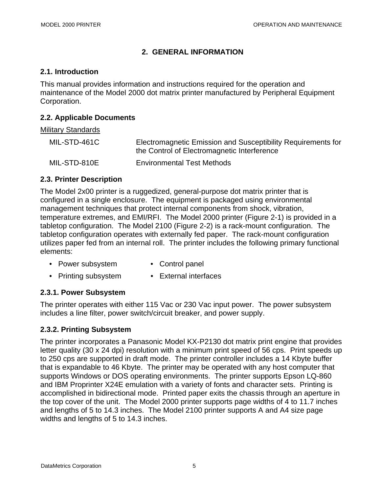### **2. GENERAL INFORMATION**

### **2.1. Introduction**

This manual provides information and instructions required for the operation and maintenance of the Model 2000 dot matrix printer manufactured by Peripheral Equipment Corporation.

### **2.2. Applicable Documents**

#### Military Standards

| MIL-STD-461C | Electromagnetic Emission and Susceptibility Requirements for<br>the Control of Electromagnetic Interference |
|--------------|-------------------------------------------------------------------------------------------------------------|
| MIL-STD-810E | <b>Environmental Test Methods</b>                                                                           |

### **2.3. Printer Description**

The Model 2x00 printer is a ruggedized, general-purpose dot matrix printer that is configured in a single enclosure. The equipment is packaged using environmental management techniques that protect internal components from shock, vibration, temperature extremes, and EMI/RFI. The Model 2000 printer (Figure 2-1) is provided in a tabletop configuration. The Model 2100 (Figure 2-2) is a rack-mount configuration. The tabletop configuration operates with externally fed paper. The rack-mount configuration utilizes paper fed from an internal roll. The printer includes the following primary functional elements:

- Power subsystem Control panel
- Printing subsystem External interfaces

### **2.3.1. Power Subsystem**

The printer operates with either 115 Vac or 230 Vac input power. The power subsystem includes a line filter, power switch/circuit breaker, and power supply.

### **2.3.2. Printing Subsystem**

The printer incorporates a Panasonic Model KX-P2130 dot matrix print engine that provides letter quality (30 x 24 dpi) resolution with a minimum print speed of 56 cps. Print speeds up to 250 cps are supported in draft mode. The printer controller includes a 14 Kbyte buffer that is expandable to 46 Kbyte. The printer may be operated with any host computer that supports Windows or DOS operating environments. The printer supports Epson LQ-860 and IBM Proprinter X24E emulation with a variety of fonts and character sets. Printing is accomplished in bidirectional mode. Printed paper exits the chassis through an aperture in the top cover of the unit. The Model 2000 printer supports page widths of 4 to 11.7 inches and lengths of 5 to 14.3 inches. The Model 2100 printer supports A and A4 size page widths and lengths of 5 to 14.3 inches.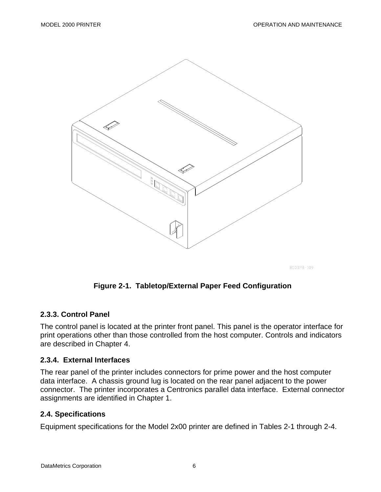

800028-109

### **Figure 2-1. Tabletop/External Paper Feed Configuration**

#### **2.3.3. Control Panel**

The control panel is located at the printer front panel. This panel is the operator interface for print operations other than those controlled from the host computer. Controls and indicators are described in Chapter 4.

#### **2.3.4. External Interfaces**

The rear panel of the printer includes connectors for prime power and the host computer data interface. A chassis ground lug is located on the rear panel adjacent to the power connector. The printer incorporates a Centronics parallel data interface. External connector assignments are identified in Chapter 1.

#### **2.4. Specifications**

Equipment specifications for the Model 2x00 printer are defined in Tables 2-1 through 2-4.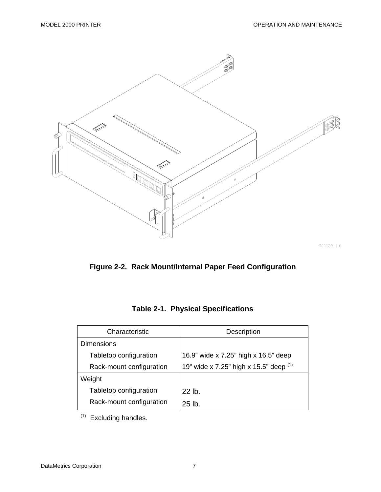

800028-110



| Characteristic           | Description                              |
|--------------------------|------------------------------------------|
| <b>Dimensions</b>        |                                          |
| Tabletop configuration   | 16.9" wide x 7.25" high x 16.5" deep     |
| Rack-mount configuration | 19" wide x 7.25" high x 15.5" deep $(1)$ |
| Weight                   |                                          |
| Tabletop configuration   | $22$ lb.                                 |
| Rack-mount configuration | $25$ lb.                                 |

**Table 2-1. Physical Specifications** 

(1) Excluding handles.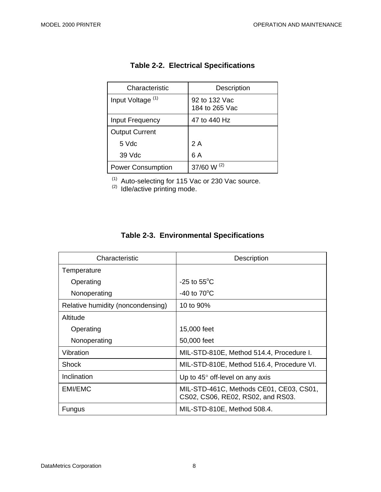| Characteristic               | Description                     |
|------------------------------|---------------------------------|
| Input Voltage <sup>(1)</sup> | 92 to 132 Vac<br>184 to 265 Vac |
| Input Frequency              | 47 to 440 Hz                    |
| <b>Output Current</b>        |                                 |
| 5 Vdc                        | 2 A                             |
| 39 Vdc                       | 6 A                             |
| <b>Power Consumption</b>     | 37/60 W $(2)$                   |

# **Table 2-2. Electrical Specifications**

 $(1)$  Auto-selecting for 115 Vac or 230 Vac source.

 $(2)$  Idle/active printing mode.

|  | <b>Table 2-3. Environmental Specifications</b> |  |
|--|------------------------------------------------|--|
|--|------------------------------------------------|--|

| Characteristic                    | <b>Description</b>                                                           |
|-----------------------------------|------------------------------------------------------------------------------|
| Temperature                       |                                                                              |
| Operating                         | $-25$ to $55^{\circ}$ C                                                      |
| Nonoperating                      | $-40$ to $70^{\circ}$ C                                                      |
| Relative humidity (noncondensing) | 10 to 90%                                                                    |
| Altitude                          |                                                                              |
| Operating                         | 15,000 feet                                                                  |
| Nonoperating                      | 50,000 feet                                                                  |
| Vibration                         | MIL-STD-810E, Method 514.4, Procedure I.                                     |
| Shock                             | MIL-STD-810E, Method 516.4, Procedure VI.                                    |
| Inclination                       | Up to $45^\circ$ off-level on any axis                                       |
| EMI/EMC                           | MIL-STD-461C, Methods CE01, CE03, CS01,<br>CS02, CS06, RE02, RS02, and RS03. |
| Fungus                            | MIL-STD-810E, Method 508.4.                                                  |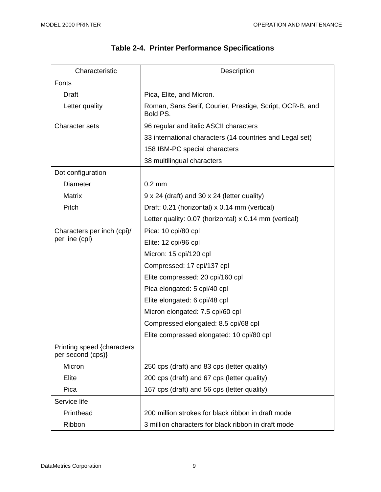| Characteristic                                  | Description                                                          |
|-------------------------------------------------|----------------------------------------------------------------------|
| Fonts                                           |                                                                      |
| Draft                                           | Pica, Elite, and Micron.                                             |
| Letter quality                                  | Roman, Sans Serif, Courier, Prestige, Script, OCR-B, and<br>Bold PS. |
| <b>Character sets</b>                           | 96 regular and italic ASCII characters                               |
|                                                 | 33 international characters (14 countries and Legal set)             |
|                                                 | 158 IBM-PC special characters                                        |
|                                                 | 38 multilingual characters                                           |
| Dot configuration                               |                                                                      |
| <b>Diameter</b>                                 | $0.2 \text{ mm}$                                                     |
| <b>Matrix</b>                                   | 9 x 24 (draft) and 30 x 24 (letter quality)                          |
| Pitch                                           | Draft: 0.21 (horizontal) x 0.14 mm (vertical)                        |
|                                                 | Letter quality: 0.07 (horizontal) x 0.14 mm (vertical)               |
| Characters per inch (cpi)/<br>per line (cpl)    | Pica: 10 cpi/80 cpl                                                  |
|                                                 | Elite: 12 cpi/96 cpl                                                 |
|                                                 | Micron: 15 cpi/120 cpl                                               |
|                                                 | Compressed: 17 cpi/137 cpl                                           |
|                                                 | Elite compressed: 20 cpi/160 cpl                                     |
|                                                 | Pica elongated: 5 cpi/40 cpl                                         |
|                                                 | Elite elongated: 6 cpi/48 cpl                                        |
|                                                 | Micron elongated: 7.5 cpi/60 cpl                                     |
|                                                 | Compressed elongated: 8.5 cpi/68 cpl                                 |
|                                                 | Elite compressed elongated: 10 cpi/80 cpl                            |
| Printing speed {characters<br>per second (cps)} |                                                                      |
| Micron                                          | 250 cps (draft) and 83 cps (letter quality)                          |
| Elite                                           | 200 cps (draft) and 67 cps (letter quality)                          |
| Pica                                            | 167 cps (draft) and 56 cps (letter quality)                          |
| Service life                                    |                                                                      |
| Printhead                                       | 200 million strokes for black ribbon in draft mode                   |
| Ribbon                                          | 3 million characters for black ribbon in draft mode                  |

# **Table 2-4. Printer Performance Specifications**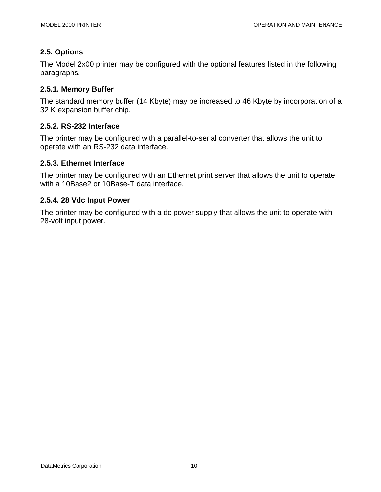### **2.5. Options**

The Model 2x00 printer may be configured with the optional features listed in the following paragraphs.

### **2.5.1. Memory Buffer**

The standard memory buffer (14 Kbyte) may be increased to 46 Kbyte by incorporation of a 32 K expansion buffer chip.

### **2.5.2. RS-232 Interface**

The printer may be configured with a parallel-to-serial converter that allows the unit to operate with an RS-232 data interface.

### **2.5.3. Ethernet Interface**

The printer may be configured with an Ethernet print server that allows the unit to operate with a 10Base2 or 10Base-T data interface.

### **2.5.4. 28 Vdc Input Power**

The printer may be configured with a dc power supply that allows the unit to operate with 28-volt input power.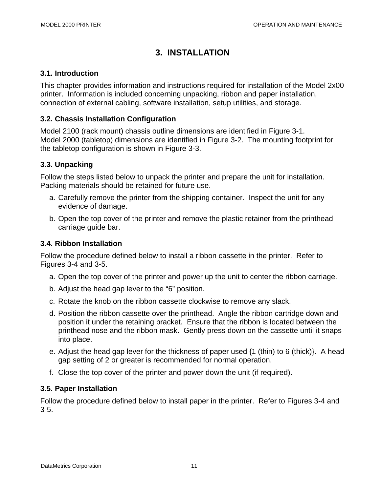# **3. INSTALLATION**

### **3.1. Introduction**

This chapter provides information and instructions required for installation of the Model 2x00 printer. Information is included concerning unpacking, ribbon and paper installation, connection of external cabling, software installation, setup utilities, and storage.

### **3.2. Chassis Installation Configuration**

Model 2100 (rack mount) chassis outline dimensions are identified in Figure 3-1. Model 2000 (tabletop) dimensions are identified in Figure 3-2. The mounting footprint for the tabletop configuration is shown in Figure 3-3.

### **3.3. Unpacking**

Follow the steps listed below to unpack the printer and prepare the unit for installation. Packing materials should be retained for future use.

- a. Carefully remove the printer from the shipping container. Inspect the unit for any evidence of damage.
- b. Open the top cover of the printer and remove the plastic retainer from the printhead carriage guide bar.

### **3.4. Ribbon Installation**

Follow the procedure defined below to install a ribbon cassette in the printer. Refer to Figures 3-4 and 3-5.

- a. Open the top cover of the printer and power up the unit to center the ribbon carriage.
- b. Adjust the head gap lever to the "6" position.
- c. Rotate the knob on the ribbon cassette clockwise to remove any slack.
- d. Position the ribbon cassette over the printhead. Angle the ribbon cartridge down and position it under the retaining bracket. Ensure that the ribbon is located between the printhead nose and the ribbon mask. Gently press down on the cassette until it snaps into place.
- e. Adjust the head gap lever for the thickness of paper used {1 (thin) to 6 (thick)}. A head gap setting of 2 or greater is recommended for normal operation.
- f. Close the top cover of the printer and power down the unit (if required).

### **3.5. Paper Installation**

Follow the procedure defined below to install paper in the printer. Refer to Figures 3-4 and 3-5.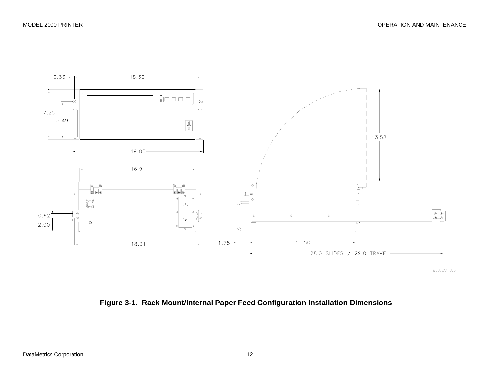

800028-106

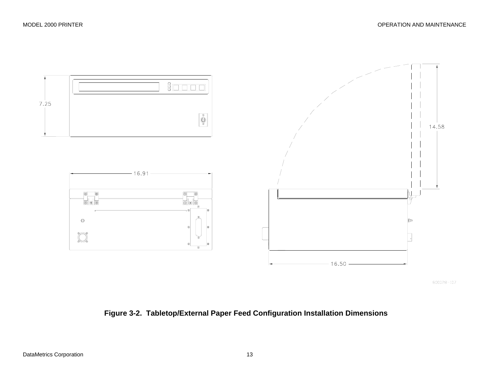

**Figure 3-2. Tabletop/External Paper Feed Configuration Installation Dimensions**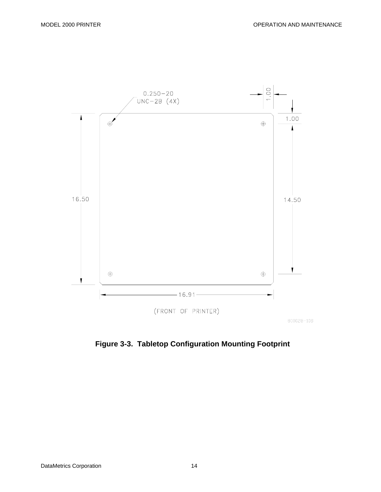

**Figure 3-3. Tabletop Configuration Mounting Footprint**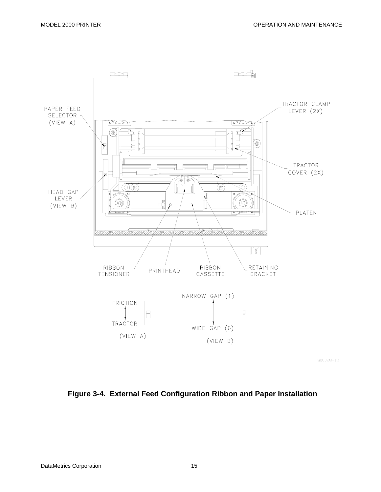

800028-111

### **Figure 3-4. External Feed Configuration Ribbon and Paper Installation**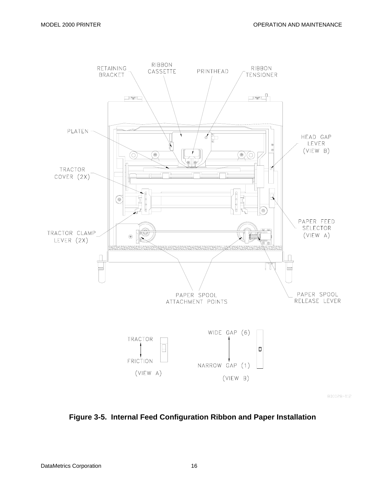

800028-112

**Figure 3-5. Internal Feed Configuration Ribbon and Paper Installation**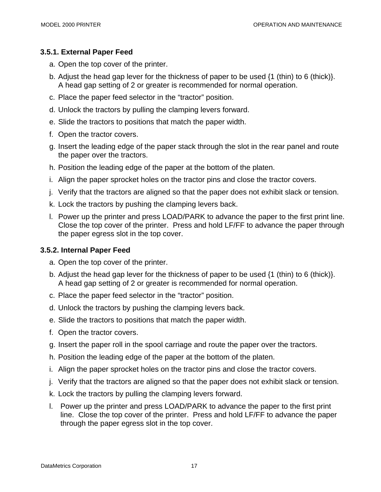### **3.5.1. External Paper Feed**

- a. Open the top cover of the printer.
- b. Adjust the head gap lever for the thickness of paper to be used {1 (thin) to 6 (thick)}. A head gap setting of 2 or greater is recommended for normal operation.
- c. Place the paper feed selector in the "tractor" position.
- d. Unlock the tractors by pulling the clamping levers forward.
- e. Slide the tractors to positions that match the paper width.
- f. Open the tractor covers.
- g. Insert the leading edge of the paper stack through the slot in the rear panel and route the paper over the tractors.
- h. Position the leading edge of the paper at the bottom of the platen.
- i. Align the paper sprocket holes on the tractor pins and close the tractor covers.
- j. Verify that the tractors are aligned so that the paper does not exhibit slack or tension.
- k. Lock the tractors by pushing the clamping levers back.
- l. Power up the printer and press LOAD/PARK to advance the paper to the first print line. Close the top cover of the printer. Press and hold LF/FF to advance the paper through the paper egress slot in the top cover.

### **3.5.2. Internal Paper Feed**

- a. Open the top cover of the printer.
- b. Adjust the head gap lever for the thickness of paper to be used {1 (thin) to 6 (thick)}. A head gap setting of 2 or greater is recommended for normal operation.
- c. Place the paper feed selector in the "tractor" position.
- d. Unlock the tractors by pushing the clamping levers back.
- e. Slide the tractors to positions that match the paper width.
- f. Open the tractor covers.
- g. Insert the paper roll in the spool carriage and route the paper over the tractors.
- h. Position the leading edge of the paper at the bottom of the platen.
- i. Align the paper sprocket holes on the tractor pins and close the tractor covers.
- j. Verify that the tractors are aligned so that the paper does not exhibit slack or tension.
- k. Lock the tractors by pulling the clamping levers forward.
- l. Power up the printer and press LOAD/PARK to advance the paper to the first print line. Close the top cover of the printer. Press and hold LF/FF to advance the paper through the paper egress slot in the top cover.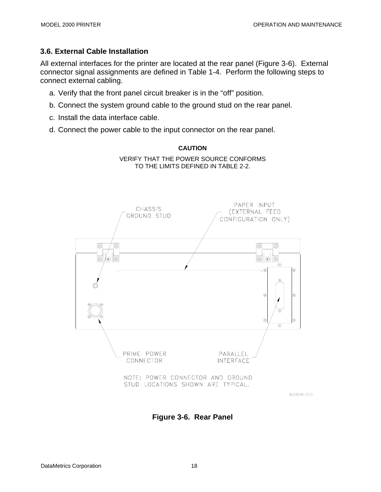### **3.6. External Cable Installation**

All external interfaces for the printer are located at the rear panel (Figure 3-6). External connector signal assignments are defined in Table 1-4. Perform the following steps to connect external cabling.

> **CAUTION**  VERIFY THAT THE POWER SOURCE CONFORMS TO THE LIMITS DEFINED IN TABLE 2-2.

- a. Verify that the front panel circuit breaker is in the "off" position.
- b. Connect the system ground cable to the ground stud on the rear panel.
- c. Install the data interface cable.
- d. Connect the power cable to the input connector on the rear panel.



800028-105

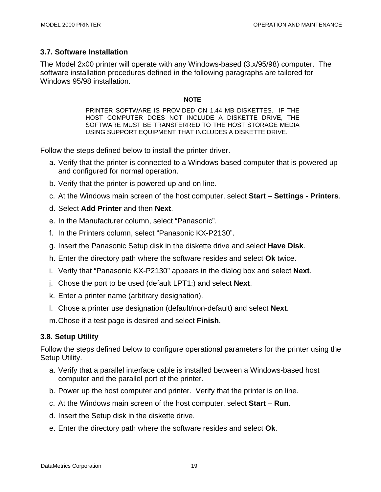### **3.7. Software Installation**

The Model 2x00 printer will operate with any Windows-based (3.x/95/98) computer. The software installation procedures defined in the following paragraphs are tailored for Windows 95/98 installation.

#### **NOTE**

PRINTER SOFTWARE IS PROVIDED ON 1.44 MB DISKETTES. IF THE HOST COMPUTER DOES NOT INCLUDE A DISKETTE DRIVE, THE SOFTWARE MUST BE TRANSFERRED TO THE HOST STORAGE MEDIA USING SUPPORT EQUIPMENT THAT INCLUDES A DISKETTE DRIVE.

Follow the steps defined below to install the printer driver.

- a. Verify that the printer is connected to a Windows-based computer that is powered up and configured for normal operation.
- b. Verify that the printer is powered up and on line.
- c. At the Windows main screen of the host computer, select **Start Settings Printers**.
- d. Select **Add Printer** and then **Next**.
- e. In the Manufacturer column, select "Panasonic".
- f. In the Printers column, select "Panasonic KX-P2130".
- g. Insert the Panasonic Setup disk in the diskette drive and select **Have Disk**.
- h. Enter the directory path where the software resides and select **Ok** twice.
- i. Verify that "Panasonic KX-P2130" appears in the dialog box and select **Next**.
- j. Chose the port to be used (default LPT1:) and select **Next**.
- k. Enter a printer name (arbitrary designation).
- l. Chose a printer use designation (default/non-default) and select **Next**.
- m. Chose if a test page is desired and select **Finish**.

### **3.8. Setup Utility**

Follow the steps defined below to configure operational parameters for the printer using the Setup Utility.

- a. Verify that a parallel interface cable is installed between a Windows-based host computer and the parallel port of the printer.
- b. Power up the host computer and printer. Verify that the printer is on line.
- c. At the Windows main screen of the host computer, select **Start Run**.
- d. Insert the Setup disk in the diskette drive.
- e. Enter the directory path where the software resides and select **Ok**.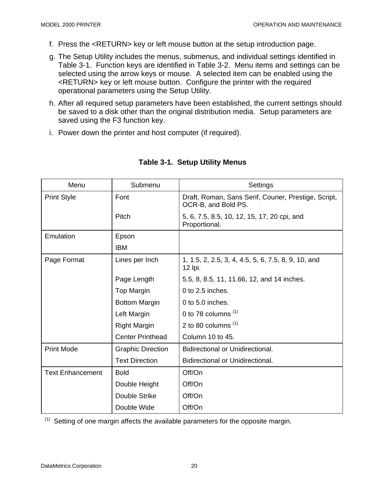- f. Press the <RETURN> key or left mouse button at the setup introduction page.
- g. The Setup Utility includes the menus, submenus, and individual settings identified in Table 3-1. Function keys are identified in Table 3-2. Menu items and settings can be selected using the arrow keys or mouse. A selected item can be enabled using the <RETURN> key or left mouse button. Configure the printer with the required operational parameters using the Setup Utility.
- h. After all required setup parameters have been established, the current settings should be saved to a disk other than the original distribution media. Setup parameters are saved using the F3 function key.
- i. Power down the printer and host computer (if required).

| Menu                    | Submenu                  | Settings                                                                    |
|-------------------------|--------------------------|-----------------------------------------------------------------------------|
| <b>Print Style</b>      | Font                     | Draft, Roman, Sans Serif, Courier, Prestige, Script,<br>OCR-B, and Bold PS. |
|                         | Pitch                    | 5, 6, 7.5, 8.5, 10, 12, 15, 17, 20 cpi, and<br>Proportional.                |
| Emulation               | Epson                    |                                                                             |
|                         | <b>IBM</b>               |                                                                             |
| Page Format             | Lines per Inch           | 1, 1.5, 2, 2.5, 3, 4, 4.5, 5, 6, 7.5, 8, 9, 10, and<br>12 lpi.              |
|                         | Page Length              | 5.5, 8, 8.5, 11, 11.66, 12, and 14 inches.                                  |
|                         | Top Margin               | $0$ to $2.5$ inches.                                                        |
|                         | <b>Bottom Margin</b>     | 0 to 5.0 inches.                                                            |
|                         | Left Margin              | 0 to 78 columns $(1)$                                                       |
|                         | <b>Right Margin</b>      | 2 to 80 columns $(1)$                                                       |
|                         | <b>Center Printhead</b>  | Column 10 to 45.                                                            |
| <b>Print Mode</b>       | <b>Graphic Direction</b> | <b>Bidirectional or Unidirectional.</b>                                     |
|                         | <b>Text Direction</b>    | Bidirectional or Unidirectional.                                            |
| <b>Text Enhancement</b> | <b>Bold</b>              | Off/On                                                                      |
|                         | Double Height            | Off/On                                                                      |
|                         | Double Strike            | Off/On                                                                      |
|                         | Double Wide              | Off/On                                                                      |

### **Table 3-1. Setup Utility Menus**

 $(1)$  Setting of one margin affects the available parameters for the opposite margin.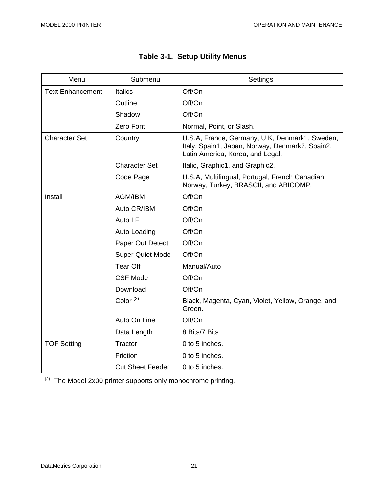| Menu                    | Submenu                 | Settings                                                                                                                              |
|-------------------------|-------------------------|---------------------------------------------------------------------------------------------------------------------------------------|
| <b>Text Enhancement</b> | <b>Italics</b>          | Off/On                                                                                                                                |
|                         | Outline                 | Off/On                                                                                                                                |
|                         | Shadow                  | Off/On                                                                                                                                |
|                         | Zero Font               | Normal, Point, or Slash.                                                                                                              |
| <b>Character Set</b>    | Country                 | U.S.A, France, Germany, U.K, Denmark1, Sweden,<br>Italy, Spain1, Japan, Norway, Denmark2, Spain2,<br>Latin America, Korea, and Legal. |
|                         | <b>Character Set</b>    | Italic, Graphic1, and Graphic2.                                                                                                       |
|                         | Code Page               | U.S.A, Multilingual, Portugal, French Canadian,<br>Norway, Turkey, BRASCII, and ABICOMP.                                              |
| Install                 | AGM/IBM                 | Off/On                                                                                                                                |
|                         | Auto CR/IBM             | Off/On                                                                                                                                |
|                         | Auto LF                 | Off/On                                                                                                                                |
|                         | Auto Loading            | Off/On                                                                                                                                |
|                         | Paper Out Detect        | Off/On                                                                                                                                |
|                         | <b>Super Quiet Mode</b> | Off/On                                                                                                                                |
|                         | <b>Tear Off</b>         | Manual/Auto                                                                                                                           |
|                         | <b>CSF Mode</b>         | Off/On                                                                                                                                |
|                         | Download                | Off/On                                                                                                                                |
|                         | Color $(2)$             | Black, Magenta, Cyan, Violet, Yellow, Orange, and<br>Green.                                                                           |
|                         | Auto On Line            | Off/On                                                                                                                                |
|                         | Data Length             | 8 Bits/7 Bits                                                                                                                         |
| <b>TOF Setting</b>      | Tractor                 | 0 to 5 inches.                                                                                                                        |
|                         | Friction                | 0 to 5 inches.                                                                                                                        |
|                         | <b>Cut Sheet Feeder</b> | 0 to 5 inches.                                                                                                                        |

| <b>Table 3-1. Setup Utility Menus</b> |  |  |  |
|---------------------------------------|--|--|--|
|---------------------------------------|--|--|--|

 $(2)$  The Model 2x00 printer supports only monochrome printing.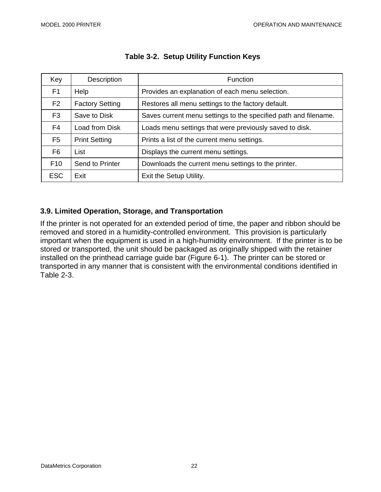| Key             | Description            | <b>Function</b>                                                 |
|-----------------|------------------------|-----------------------------------------------------------------|
| F <sub>1</sub>  | Help                   | Provides an explanation of each menu selection.                 |
| F <sub>2</sub>  | <b>Factory Setting</b> | Restores all menu settings to the factory default.              |
| F <sub>3</sub>  | Save to Disk           | Saves current menu settings to the specified path and filename. |
| F <sub>4</sub>  | Load from Disk         | Loads menu settings that were previously saved to disk.         |
| F <sub>5</sub>  | <b>Print Setting</b>   | Prints a list of the current menu settings.                     |
| F6              | List                   | Displays the current menu settings.                             |
| F <sub>10</sub> | Send to Printer        | Downloads the current menu settings to the printer.             |
| <b>ESC</b>      | Exit                   | Exit the Setup Utility.                                         |

#### **Table 3-2. Setup Utility Function Keys**

### **3.9. Limited Operation, Storage, and Transportation**

If the printer is not operated for an extended period of time, the paper and ribbon should be removed and stored in a humidity-controlled environment. This provision is particularly important when the equipment is used in a high-humidity environment. If the printer is to be stored or transported, the unit should be packaged as originally shipped with the retainer installed on the printhead carriage guide bar (Figure 6-1). The printer can be stored or transported in any manner that is consistent with the environmental conditions identified in Table 2-3.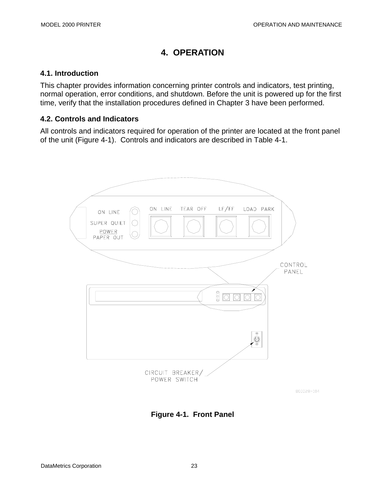# **4. OPERATION**

### **4.1. Introduction**

This chapter provides information concerning printer controls and indicators, test printing, normal operation, error conditions, and shutdown. Before the unit is powered up for the first time, verify that the installation procedures defined in Chapter 3 have been performed.

### **4.2. Controls and Indicators**

All controls and indicators required for operation of the printer are located at the front panel of the unit (Figure 4-1). Controls and indicators are described in Table 4-1.



**Figure 4-1. Front Panel**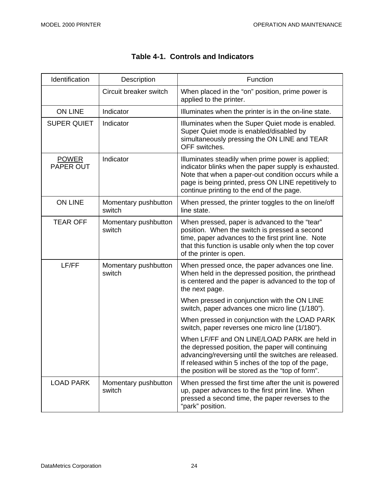$\mathbf{r}$ 

 $\sim$ 

| Identification            | Description                    | Function                                                                                                                                                                                                                                                              |
|---------------------------|--------------------------------|-----------------------------------------------------------------------------------------------------------------------------------------------------------------------------------------------------------------------------------------------------------------------|
|                           | Circuit breaker switch         | When placed in the "on" position, prime power is<br>applied to the printer.                                                                                                                                                                                           |
| <b>ON LINE</b>            | Indicator                      | Illuminates when the printer is in the on-line state.                                                                                                                                                                                                                 |
| <b>SUPER QUIET</b>        | Indicator                      | Illuminates when the Super Quiet mode is enabled.<br>Super Quiet mode is enabled/disabled by<br>simultaneously pressing the ON LINE and TEAR<br>OFF switches.                                                                                                         |
| <b>POWER</b><br>PAPER OUT | Indicator                      | Illuminates steadily when prime power is applied;<br>indicator blinks when the paper supply is exhausted.<br>Note that when a paper-out condition occurs while a<br>page is being printed, press ON LINE repetitively to<br>continue printing to the end of the page. |
| <b>ON LINE</b>            | Momentary pushbutton<br>switch | When pressed, the printer toggles to the on line/off<br>line state.                                                                                                                                                                                                   |
| <b>TEAR OFF</b>           | Momentary pushbutton<br>switch | When pressed, paper is advanced to the "tear"<br>position. When the switch is pressed a second<br>time, paper advances to the first print line. Note<br>that this function is usable only when the top cover<br>of the printer is open.                               |
| LF/FF                     | Momentary pushbutton<br>switch | When pressed once, the paper advances one line.<br>When held in the depressed position, the printhead<br>is centered and the paper is advanced to the top of<br>the next page.                                                                                        |
|                           |                                | When pressed in conjunction with the ON LINE<br>switch, paper advances one micro line (1/180").                                                                                                                                                                       |
|                           |                                | When pressed in conjunction with the LOAD PARK<br>switch, paper reverses one micro line (1/180").                                                                                                                                                                     |
|                           |                                | When LF/FF and ON LINE/LOAD PARK are held in<br>the depressed position, the paper will continuing<br>advancing/reversing until the switches are released.<br>If released within 5 inches of the top of the page,<br>the position will be stored as the "top of form". |
| <b>LOAD PARK</b>          | Momentary pushbutton<br>switch | When pressed the first time after the unit is powered<br>up, paper advances to the first print line. When<br>pressed a second time, the paper reverses to the<br>"park" position.                                                                                     |

# **Table 4-1. Controls and Indicators**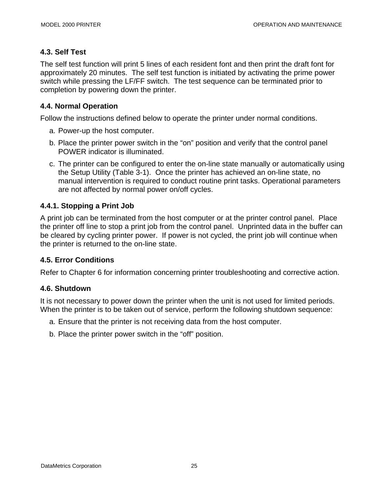### **4.3. Self Test**

The self test function will print 5 lines of each resident font and then print the draft font for approximately 20 minutes. The self test function is initiated by activating the prime power switch while pressing the LF/FF switch. The test sequence can be terminated prior to completion by powering down the printer.

### **4.4. Normal Operation**

Follow the instructions defined below to operate the printer under normal conditions.

- a. Power-up the host computer.
- b. Place the printer power switch in the "on" position and verify that the control panel POWER indicator is illuminated.
- c. The printer can be configured to enter the on-line state manually or automatically using the Setup Utility (Table 3-1). Once the printer has achieved an on-line state, no manual intervention is required to conduct routine print tasks. Operational parameters are not affected by normal power on/off cycles.

### **4.4.1. Stopping a Print Job**

A print job can be terminated from the host computer or at the printer control panel. Place the printer off line to stop a print job from the control panel. Unprinted data in the buffer can be cleared by cycling printer power. If power is not cycled, the print job will continue when the printer is returned to the on-line state.

### **4.5. Error Conditions**

Refer to Chapter 6 for information concerning printer troubleshooting and corrective action.

### **4.6. Shutdown**

It is not necessary to power down the printer when the unit is not used for limited periods. When the printer is to be taken out of service, perform the following shutdown sequence:

- a. Ensure that the printer is not receiving data from the host computer.
- b. Place the printer power switch in the "off" position.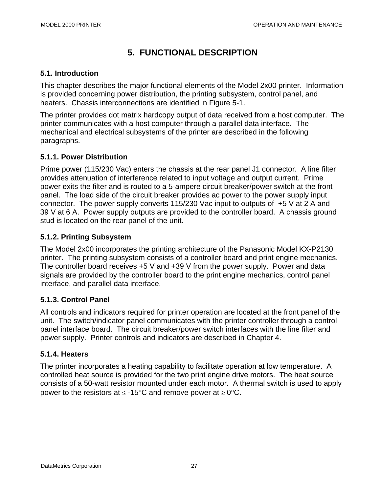# **5. FUNCTIONAL DESCRIPTION**

### **5.1. Introduction**

This chapter describes the major functional elements of the Model 2x00 printer. Information is provided concerning power distribution, the printing subsystem, control panel, and heaters. Chassis interconnections are identified in Figure 5-1.

The printer provides dot matrix hardcopy output of data received from a host computer. The printer communicates with a host computer through a parallel data interface. The mechanical and electrical subsystems of the printer are described in the following paragraphs.

### **5.1.1. Power Distribution**

Prime power (115/230 Vac) enters the chassis at the rear panel J1 connector. A line filter provides attenuation of interference related to input voltage and output current. Prime power exits the filter and is routed to a 5-ampere circuit breaker/power switch at the front panel. The load side of the circuit breaker provides ac power to the power supply input connector. The power supply converts 115/230 Vac input to outputs of +5 V at 2 A and 39 V at 6 A. Power supply outputs are provided to the controller board. A chassis ground stud is located on the rear panel of the unit.

### **5.1.2. Printing Subsystem**

The Model 2x00 incorporates the printing architecture of the Panasonic Model KX-P2130 printer. The printing subsystem consists of a controller board and print engine mechanics. The controller board receives +5 V and +39 V from the power supply. Power and data signals are provided by the controller board to the print engine mechanics, control panel interface, and parallel data interface.

## **5.1.3. Control Panel**

All controls and indicators required for printer operation are located at the front panel of the unit. The switch/indicator panel communicates with the printer controller through a control panel interface board. The circuit breaker/power switch interfaces with the line filter and power supply. Printer controls and indicators are described in Chapter 4.

### **5.1.4. Heaters**

The printer incorporates a heating capability to facilitate operation at low temperature. A controlled heat source is provided for the two print engine drive motors. The heat source consists of a 50-watt resistor mounted under each motor. A thermal switch is used to apply power to the resistors at  $\leq$  -15°C and remove power at  $\geq$  0°C.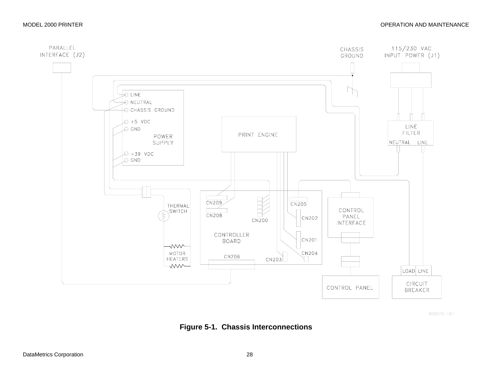

800028-102

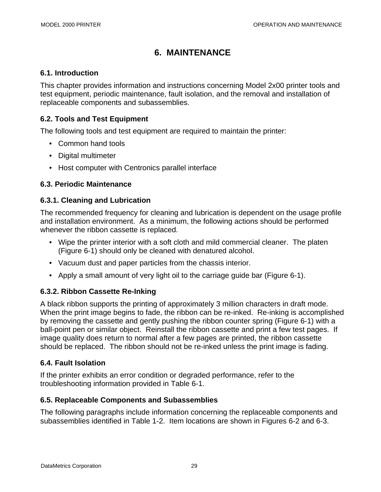# **6. MAINTENANCE**

#### **6.1. Introduction**

This chapter provides information and instructions concerning Model 2x00 printer tools and test equipment, periodic maintenance, fault isolation, and the removal and installation of replaceable components and subassemblies.

### **6.2. Tools and Test Equipment**

The following tools and test equipment are required to maintain the printer:

- Common hand tools
- Digital multimeter
- Host computer with Centronics parallel interface

### **6.3. Periodic Maintenance**

### **6.3.1. Cleaning and Lubrication**

The recommended frequency for cleaning and lubrication is dependent on the usage profile and installation environment. As a minimum, the following actions should be performed whenever the ribbon cassette is replaced.

- Wipe the printer interior with a soft cloth and mild commercial cleaner. The platen (Figure 6-1) should only be cleaned with denatured alcohol.
- Vacuum dust and paper particles from the chassis interior.
- Apply a small amount of very light oil to the carriage guide bar (Figure 6-1).

### **6.3.2. Ribbon Cassette Re-Inking**

A black ribbon supports the printing of approximately 3 million characters in draft mode. When the print image begins to fade, the ribbon can be re-inked. Re-inking is accomplished by removing the cassette and gently pushing the ribbon counter spring (Figure 6-1) with a ball-point pen or similar object. Reinstall the ribbon cassette and print a few test pages. If image quality does return to normal after a few pages are printed, the ribbon cassette should be replaced. The ribbon should not be re-inked unless the print image is fading.

### **6.4. Fault Isolation**

If the printer exhibits an error condition or degraded performance, refer to the troubleshooting information provided in Table 6-1.

### **6.5. Replaceable Components and Subassemblies**

The following paragraphs include information concerning the replaceable components and subassemblies identified in Table 1-2. Item locations are shown in Figures 6-2 and 6-3.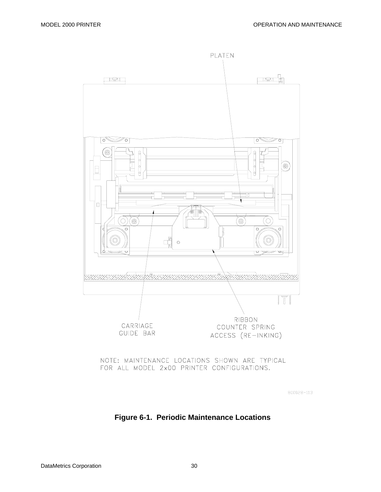

#### NOTE: MAINTENANCE LOCATIONS SHOWN ARE TYPICAL FOR ALL MODEL 2x00 PRINTER CONFIGURATIONS.

800028-113

### **Figure 6-1. Periodic Maintenance Locations**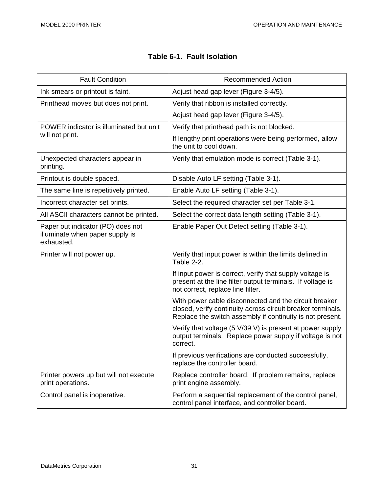| <b>Fault Condition</b>                                                             | <b>Recommended Action</b>                                                                                                                                                         |
|------------------------------------------------------------------------------------|-----------------------------------------------------------------------------------------------------------------------------------------------------------------------------------|
| Ink smears or printout is faint.                                                   | Adjust head gap lever (Figure 3-4/5).                                                                                                                                             |
| Printhead moves but does not print.                                                | Verify that ribbon is installed correctly.                                                                                                                                        |
|                                                                                    | Adjust head gap lever (Figure 3-4/5).                                                                                                                                             |
| POWER indicator is illuminated but unit                                            | Verify that printhead path is not blocked.                                                                                                                                        |
| will not print.                                                                    | If lengthy print operations were being performed, allow<br>the unit to cool down.                                                                                                 |
| Unexpected characters appear in<br>printing.                                       | Verify that emulation mode is correct (Table 3-1).                                                                                                                                |
| Printout is double spaced.                                                         | Disable Auto LF setting (Table 3-1).                                                                                                                                              |
| The same line is repetitively printed.                                             | Enable Auto LF setting (Table 3-1).                                                                                                                                               |
| Incorrect character set prints.                                                    | Select the required character set per Table 3-1.                                                                                                                                  |
| All ASCII characters cannot be printed.                                            | Select the correct data length setting (Table 3-1).                                                                                                                               |
| Paper out indicator (PO) does not<br>illuminate when paper supply is<br>exhausted. | Enable Paper Out Detect setting (Table 3-1).                                                                                                                                      |
| Printer will not power up.                                                         | Verify that input power is within the limits defined in<br>Table 2-2.                                                                                                             |
|                                                                                    | If input power is correct, verify that supply voltage is<br>present at the line filter output terminals. If voltage is<br>not correct, replace line filter.                       |
|                                                                                    | With power cable disconnected and the circuit breaker<br>closed, verify continuity across circuit breaker terminals.<br>Replace the switch assembly if continuity is not present. |
|                                                                                    | Verify that voltage (5 V/39 V) is present at power supply<br>output terminals. Replace power supply if voltage is not<br>correct.                                                 |
|                                                                                    | If previous verifications are conducted successfully,<br>replace the controller board.                                                                                            |
| Printer powers up but will not execute<br>print operations.                        | Replace controller board. If problem remains, replace<br>print engine assembly.                                                                                                   |
| Control panel is inoperative.                                                      | Perform a sequential replacement of the control panel,<br>control panel interface, and controller board.                                                                          |

# **Table 6-1. Fault Isolation**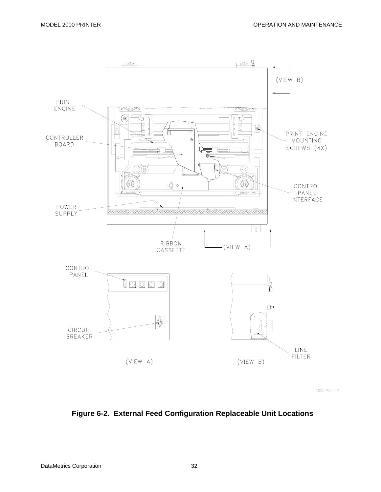

800028-114

### **Figure 6-2. External Feed Configuration Replaceable Unit Locations**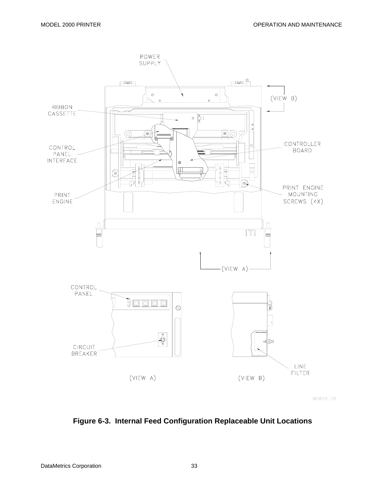

800028-115

### **Figure 6-3. Internal Feed Configuration Replaceable Unit Locations**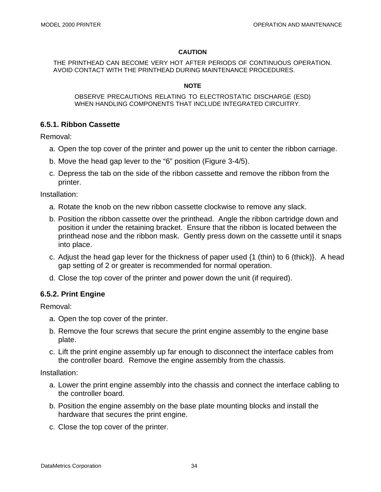#### **CAUTION**

THE PRINTHEAD CAN BECOME VERY HOT AFTER PERIODS OF CONTINUOUS OPERATION. AVOID CONTACT WITH THE PRINTHEAD DURING MAINTENANCE PROCEDURES.

#### **NOTE**

OBSERVE PRECAUTIONS RELATING TO ELECTROSTATIC DISCHARGE (ESD) WHEN HANDLING COMPONENTS THAT INCLUDE INTEGRATED CIRCUITRY.

### **6.5.1. Ribbon Cassette**

Removal:

- a. Open the top cover of the printer and power up the unit to center the ribbon carriage.
- b. Move the head gap lever to the "6" position (Figure 3-4/5).
- c. Depress the tab on the side of the ribbon cassette and remove the ribbon from the printer.

Installation:

- a. Rotate the knob on the new ribbon cassette clockwise to remove any slack.
- b. Position the ribbon cassette over the printhead. Angle the ribbon cartridge down and position it under the retaining bracket. Ensure that the ribbon is located between the printhead nose and the ribbon mask. Gently press down on the cassette until it snaps into place.
- c. Adjust the head gap lever for the thickness of paper used {1 (thin) to 6 (thick)}. A head gap setting of 2 or greater is recommended for normal operation.
- d. Close the top cover of the printer and power down the unit (if required).

#### **6.5.2. Print Engine**

Removal:

- a. Open the top cover of the printer.
- b. Remove the four screws that secure the print engine assembly to the engine base plate.
- c. Lift the print engine assembly up far enough to disconnect the interface cables from the controller board. Remove the engine assembly from the chassis.

Installation:

- a. Lower the print engine assembly into the chassis and connect the interface cabling to the controller board.
- b. Position the engine assembly on the base plate mounting blocks and install the hardware that secures the print engine.
- c. Close the top cover of the printer.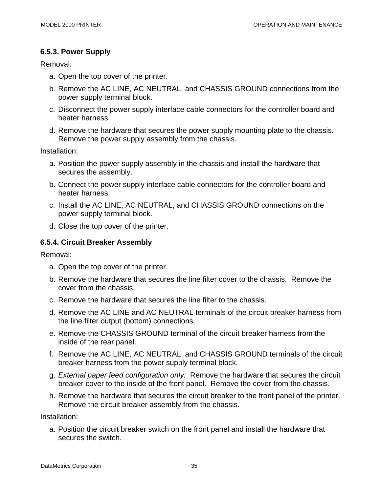### **6.5.3. Power Supply**

Removal:

- a. Open the top cover of the printer.
- b. Remove the AC LINE, AC NEUTRAL, and CHASSIS GROUND connections from the power supply terminal block.
- c. Disconnect the power supply interface cable connectors for the controller board and heater harness.
- d. Remove the hardware that secures the power supply mounting plate to the chassis. Remove the power supply assembly from the chassis.

Installation:

- a. Position the power supply assembly in the chassis and install the hardware that secures the assembly.
- b. Connect the power supply interface cable connectors for the controller board and heater harness.
- c. Install the AC LINE, AC NEUTRAL, and CHASSIS GROUND connections on the power supply terminal block.
- d. Close the top cover of the printer.

### **6.5.4. Circuit Breaker Assembly**

Removal:

- a. Open the top cover of the printer.
- b. Remove the hardware that secures the line filter cover to the chassis. Remove the cover from the chassis.
- c. Remove the hardware that secures the line filter to the chassis.
- d. Remove the AC LINE and AC NEUTRAL terminals of the circuit breaker harness from the line filter output (bottom) connections.
- e. Remove the CHASSIS GROUND terminal of the circuit breaker harness from the inside of the rear panel.
- f. Remove the AC LINE, AC NEUTRAL, and CHASSIS GROUND terminals of the circuit breaker harness from the power supply terminal block.
- g. *External paper feed configuration only:* Remove the hardware that secures the circuit breaker cover to the inside of the front panel. Remove the cover from the chassis.
- h. Remove the hardware that secures the circuit breaker to the front panel of the printer. Remove the circuit breaker assembly from the chassis.

Installation:

a. Position the circuit breaker switch on the front panel and install the hardware that secures the switch.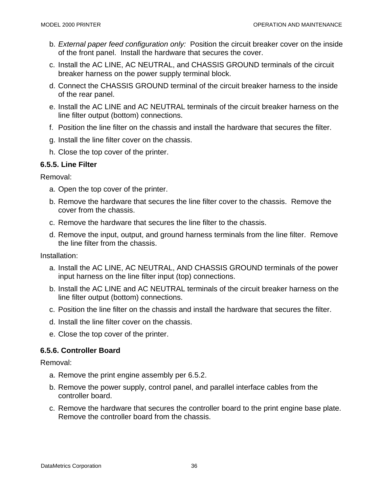- b. *External paper feed configuration only:* Position the circuit breaker cover on the inside of the front panel. Install the hardware that secures the cover.
- c. Install the AC LINE, AC NEUTRAL, and CHASSIS GROUND terminals of the circuit breaker harness on the power supply terminal block.
- d. Connect the CHASSIS GROUND terminal of the circuit breaker harness to the inside of the rear panel.
- e. Install the AC LINE and AC NEUTRAL terminals of the circuit breaker harness on the line filter output (bottom) connections.
- f. Position the line filter on the chassis and install the hardware that secures the filter.
- g. Install the line filter cover on the chassis.
- h. Close the top cover of the printer.

### **6.5.5. Line Filter**

Removal:

- a. Open the top cover of the printer.
- b. Remove the hardware that secures the line filter cover to the chassis. Remove the cover from the chassis.
- c. Remove the hardware that secures the line filter to the chassis.
- d. Remove the input, output, and ground harness terminals from the line filter. Remove the line filter from the chassis.

Installation:

- a. Install the AC LINE, AC NEUTRAL, AND CHASSIS GROUND terminals of the power input harness on the line filter input (top) connections.
- b. Install the AC LINE and AC NEUTRAL terminals of the circuit breaker harness on the line filter output (bottom) connections.
- c. Position the line filter on the chassis and install the hardware that secures the filter.
- d. Install the line filter cover on the chassis.
- e. Close the top cover of the printer.

### **6.5.6. Controller Board**

Removal:

- a. Remove the print engine assembly per 6.5.2.
- b. Remove the power supply, control panel, and parallel interface cables from the controller board.
- c. Remove the hardware that secures the controller board to the print engine base plate. Remove the controller board from the chassis.